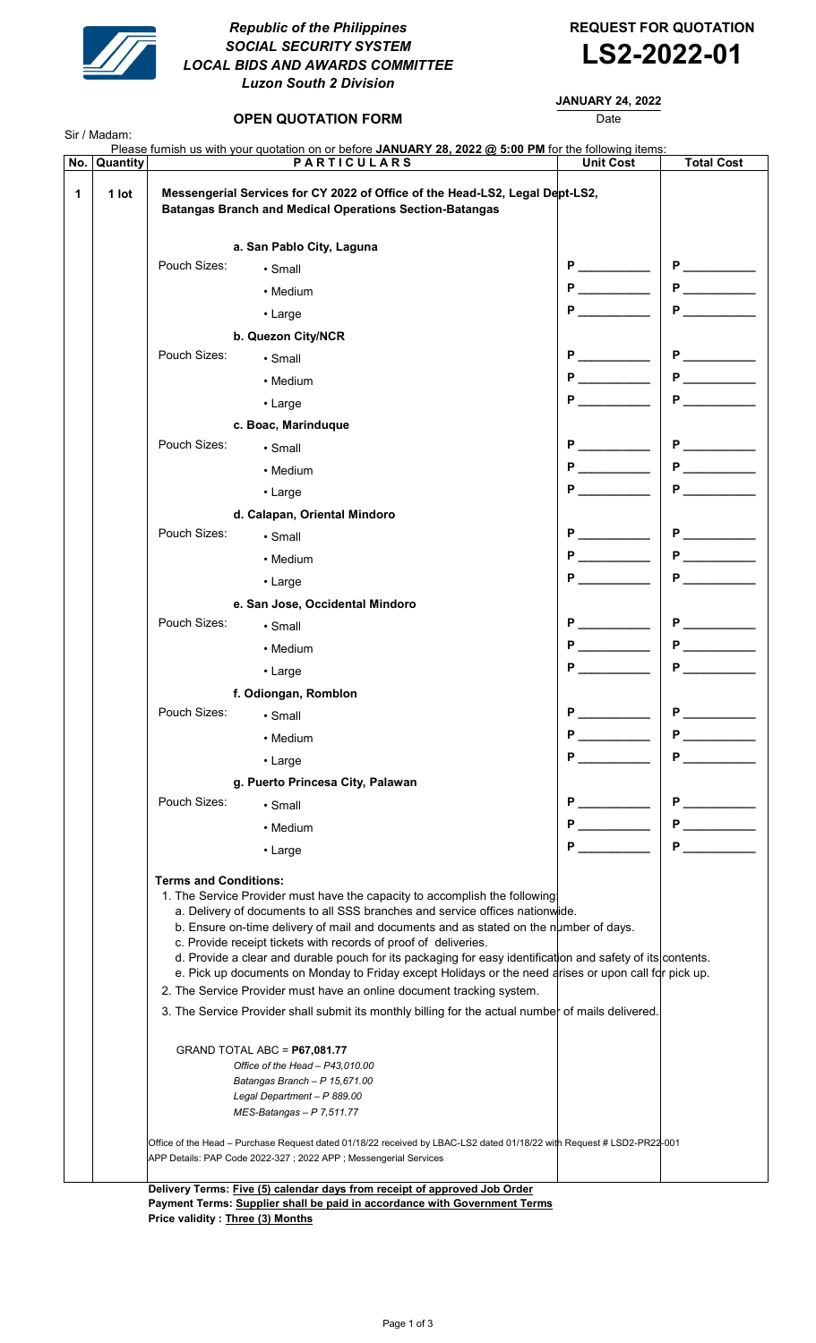

## Republic of the Philippines **REQUEST FOR QUOTATION** SOCIAL SECURITY SYSTEM SOCIAL SECURITY SYSTEM<br>LOCAL BIDS AND AWARDS COMMITTEE **LS2-2022-01** Luzon South 2 Division

## JANUARY 24, 2022

| Quantity<br>No. |                                                                                                                                                                                            | Please furnish us with your quotation on or before JANUARY 28, 2022 @ 5:00 PM for the following items:<br><b>PARTICULARS</b>                                                                                                                                                                                                                                                    | <b>Unit Cost</b>                                                                                                                                                                                                                    | <b>Total Cost</b>                                                                                                                                                                                                                   |
|-----------------|--------------------------------------------------------------------------------------------------------------------------------------------------------------------------------------------|---------------------------------------------------------------------------------------------------------------------------------------------------------------------------------------------------------------------------------------------------------------------------------------------------------------------------------------------------------------------------------|-------------------------------------------------------------------------------------------------------------------------------------------------------------------------------------------------------------------------------------|-------------------------------------------------------------------------------------------------------------------------------------------------------------------------------------------------------------------------------------|
| 1<br>1 lot      |                                                                                                                                                                                            | Messengerial Services for CY 2022 of Office of the Head-LS2, Legal Dept-LS2,<br><b>Batangas Branch and Medical Operations Section-Batangas</b>                                                                                                                                                                                                                                  |                                                                                                                                                                                                                                     |                                                                                                                                                                                                                                     |
|                 |                                                                                                                                                                                            | a. San Pablo City, Laguna                                                                                                                                                                                                                                                                                                                                                       |                                                                                                                                                                                                                                     |                                                                                                                                                                                                                                     |
|                 | Pouch Sizes:                                                                                                                                                                               | $\cdot$ Small                                                                                                                                                                                                                                                                                                                                                                   |                                                                                                                                                                                                                                     | $P_$                                                                                                                                                                                                                                |
|                 |                                                                                                                                                                                            | • Medium                                                                                                                                                                                                                                                                                                                                                                        | <b>P</b> and the set of the set of the set of the set of the set of the set of the set of the set of the set of the set of the set of the set of the set of the set of the set of the set of the set of the set of the set of the s | <b>P</b>                                                                                                                                                                                                                            |
|                 |                                                                                                                                                                                            | • Large                                                                                                                                                                                                                                                                                                                                                                         | P.                                                                                                                                                                                                                                  |                                                                                                                                                                                                                                     |
|                 |                                                                                                                                                                                            | b. Quezon City/NCR                                                                                                                                                                                                                                                                                                                                                              |                                                                                                                                                                                                                                     |                                                                                                                                                                                                                                     |
|                 | Pouch Sizes:                                                                                                                                                                               | $\cdot$ Small                                                                                                                                                                                                                                                                                                                                                                   | P                                                                                                                                                                                                                                   |                                                                                                                                                                                                                                     |
|                 |                                                                                                                                                                                            | • Medium                                                                                                                                                                                                                                                                                                                                                                        | <b>P</b> _______                                                                                                                                                                                                                    | $P \overline{\phantom{a}}$                                                                                                                                                                                                          |
|                 |                                                                                                                                                                                            | $\cdot$ Large                                                                                                                                                                                                                                                                                                                                                                   |                                                                                                                                                                                                                                     | Р                                                                                                                                                                                                                                   |
|                 |                                                                                                                                                                                            | c. Boac, Marinduque                                                                                                                                                                                                                                                                                                                                                             |                                                                                                                                                                                                                                     |                                                                                                                                                                                                                                     |
|                 | Pouch Sizes:                                                                                                                                                                               | $\cdot$ Small                                                                                                                                                                                                                                                                                                                                                                   | $P \nightharpoonup$                                                                                                                                                                                                                 |                                                                                                                                                                                                                                     |
|                 |                                                                                                                                                                                            | • Medium                                                                                                                                                                                                                                                                                                                                                                        |                                                                                                                                                                                                                                     |                                                                                                                                                                                                                                     |
|                 |                                                                                                                                                                                            |                                                                                                                                                                                                                                                                                                                                                                                 |                                                                                                                                                                                                                                     | <b>P</b> P                                                                                                                                                                                                                          |
|                 |                                                                                                                                                                                            | • Large                                                                                                                                                                                                                                                                                                                                                                         |                                                                                                                                                                                                                                     |                                                                                                                                                                                                                                     |
|                 | Pouch Sizes:                                                                                                                                                                               | d. Calapan, Oriental Mindoro                                                                                                                                                                                                                                                                                                                                                    | P.                                                                                                                                                                                                                                  |                                                                                                                                                                                                                                     |
|                 |                                                                                                                                                                                            | $\cdot$ Small                                                                                                                                                                                                                                                                                                                                                                   | $P \quad \underline{\qquad}$                                                                                                                                                                                                        | <b>P</b> and the set of the set of the set of the set of the set of the set of the set of the set of the set of the set of the set of the set of the set of the set of the set of the set of the set of the set of the set of the s |
|                 |                                                                                                                                                                                            | • Medium                                                                                                                                                                                                                                                                                                                                                                        | P                                                                                                                                                                                                                                   | P                                                                                                                                                                                                                                   |
|                 |                                                                                                                                                                                            | $\cdot$ Large                                                                                                                                                                                                                                                                                                                                                                   |                                                                                                                                                                                                                                     |                                                                                                                                                                                                                                     |
|                 |                                                                                                                                                                                            | e. San Jose, Occidental Mindoro                                                                                                                                                                                                                                                                                                                                                 |                                                                                                                                                                                                                                     |                                                                                                                                                                                                                                     |
|                 | Pouch Sizes:                                                                                                                                                                               | • Small                                                                                                                                                                                                                                                                                                                                                                         |                                                                                                                                                                                                                                     | P                                                                                                                                                                                                                                   |
|                 |                                                                                                                                                                                            | • Medium                                                                                                                                                                                                                                                                                                                                                                        | <b>P</b> and the set of the set of the set of the set of the set of the set of the set of the set of the set of the set of the set of the set of the set of the set of the set of the set of the set of the set of the set of the s |                                                                                                                                                                                                                                     |
|                 |                                                                                                                                                                                            | • Large                                                                                                                                                                                                                                                                                                                                                                         | Р                                                                                                                                                                                                                                   | P                                                                                                                                                                                                                                   |
|                 |                                                                                                                                                                                            | f. Odiongan, Romblon                                                                                                                                                                                                                                                                                                                                                            |                                                                                                                                                                                                                                     |                                                                                                                                                                                                                                     |
|                 | Pouch Sizes:                                                                                                                                                                               | • Small                                                                                                                                                                                                                                                                                                                                                                         | P                                                                                                                                                                                                                                   | <b>P</b>                                                                                                                                                                                                                            |
|                 |                                                                                                                                                                                            | • Medium                                                                                                                                                                                                                                                                                                                                                                        | P.                                                                                                                                                                                                                                  |                                                                                                                                                                                                                                     |
|                 |                                                                                                                                                                                            | • Large                                                                                                                                                                                                                                                                                                                                                                         |                                                                                                                                                                                                                                     |                                                                                                                                                                                                                                     |
|                 |                                                                                                                                                                                            | g. Puerto Princesa City, Palawan                                                                                                                                                                                                                                                                                                                                                |                                                                                                                                                                                                                                     |                                                                                                                                                                                                                                     |
|                 | Pouch Sizes:                                                                                                                                                                               | $\cdot$ Small                                                                                                                                                                                                                                                                                                                                                                   | P                                                                                                                                                                                                                                   |                                                                                                                                                                                                                                     |
|                 |                                                                                                                                                                                            | • Medium                                                                                                                                                                                                                                                                                                                                                                        |                                                                                                                                                                                                                                     |                                                                                                                                                                                                                                     |
|                 |                                                                                                                                                                                            | • Large                                                                                                                                                                                                                                                                                                                                                                         | $P \qquad \qquad \underline{\qquad}$                                                                                                                                                                                                |                                                                                                                                                                                                                                     |
|                 | <b>Terms and Conditions:</b><br>1. The Service Provider must have the capacity to accomplish the following<br>a. Delivery of documents to all SSS branches and service offices nationwide. |                                                                                                                                                                                                                                                                                                                                                                                 |                                                                                                                                                                                                                                     |                                                                                                                                                                                                                                     |
|                 |                                                                                                                                                                                            | b. Ensure on-time delivery of mail and documents and as stated on the number of days.<br>c. Provide receipt tickets with records of proof of deliveries.<br>d. Provide a clear and durable pouch for its packaging for easy identification and safety of its contents.<br>e. Pick up documents on Monday to Friday except Holidays or the need arises or upon call for pick up. |                                                                                                                                                                                                                                     |                                                                                                                                                                                                                                     |
|                 |                                                                                                                                                                                            | 2. The Service Provider must have an online document tracking system.<br>3. The Service Provider shall submit its monthly billing for the actual number of mails delivered.                                                                                                                                                                                                     |                                                                                                                                                                                                                                     |                                                                                                                                                                                                                                     |
|                 | GRAND TOTAL ABC = P67,081.77                                                                                                                                                               |                                                                                                                                                                                                                                                                                                                                                                                 |                                                                                                                                                                                                                                     |                                                                                                                                                                                                                                     |
|                 |                                                                                                                                                                                            | Office of the Head - P43,010.00<br>Batangas Branch - P 15,671.00                                                                                                                                                                                                                                                                                                                |                                                                                                                                                                                                                                     |                                                                                                                                                                                                                                     |
|                 |                                                                                                                                                                                            | Legal Department - P 889.00<br>$MES-Batangas - P 7,511.77$                                                                                                                                                                                                                                                                                                                      |                                                                                                                                                                                                                                     |                                                                                                                                                                                                                                     |
|                 |                                                                                                                                                                                            | Office of the Head - Purchase Request dated 01/18/22 received by LBAC-LS2 dated 01/18/22 with Request # LSD2-PR22-001<br>APP Details: PAP Code 2022-327 ; 2022 APP ; Messengerial Services                                                                                                                                                                                      |                                                                                                                                                                                                                                     |                                                                                                                                                                                                                                     |

Payment Terms: Supplier shall be paid in accordance with Government Terms Price validity : Three (3) Months

# OPEN QUOTATION FORM Date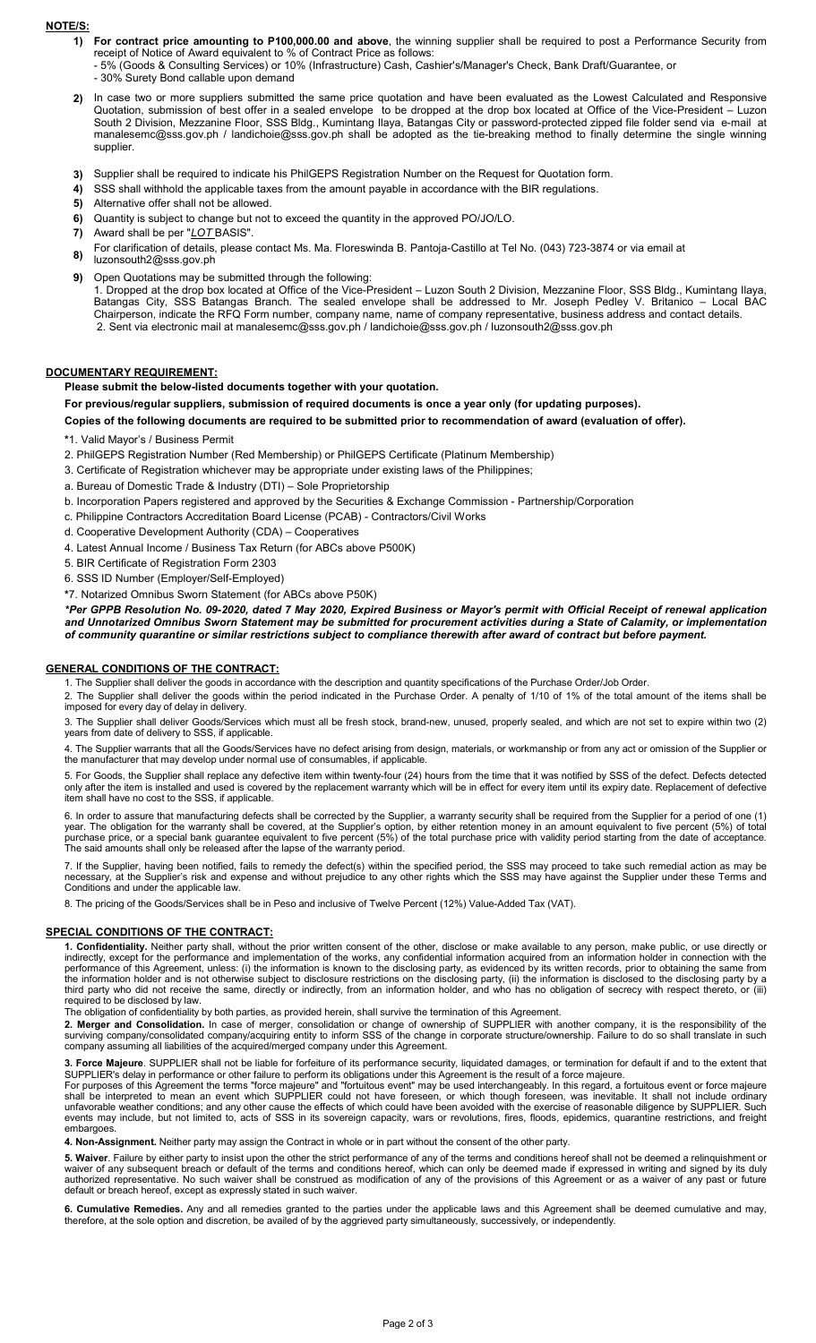#### NOTE/S:

- 1) For contract price amounting to P100,000.00 and above, the winning supplier shall be required to post a Performance Security from receipt of Notice of Award equivalent to % of Contract Price as follows:
	- 5% (Goods & Consulting Services) or 10% (Infrastructure) Cash, Cashier's/Manager's Check, Bank Draft/Guarantee, or
	- 30% Surety Bond callable upon demand
- 2) In case two or more suppliers submitted the same price quotation and have been evaluated as the Lowest Calculated and Responsive Quotation, submission of best offer in a sealed envelope to be dropped at the drop box located at Office of the Vice-President – Luzon South 2 Division, Mezzanine Floor, SSS Bldg., Kumintang Ilaya, Batangas City or password-protected zipped file folder send via e-mail at manalesemc@sss.gov.ph / landichoie@sss.gov.ph shall be adopted as the tie-breaking method to finally determine the single winning supplier.
- 3) Supplier shall be required to indicate his PhilGEPS Registration Number on the Request for Quotation form.
- 4) SSS shall withhold the applicable taxes from the amount payable in accordance with the BIR regulations.
- 5) Alternative offer shall not be allowed.
- 6) Quantity is subject to change but not to exceed the quantity in the approved PO/JO/LO.
- 7) Award shall be per "LOT BASIS".
- 8) For clarification of details, please contact Ms. Ma. Floreswinda B. Pantoja-Castillo at Tel No. (043) 723-3874 or via email at
- luzonsouth2@sss.gov.ph
- 9) Open Quotations may be submitted through the following: 1. Dropped at the drop box located at Office of the Vice-President – Luzon South 2 Division, Mezzanine Floor, SSS Bldg., Kumintang Ilaya, Batangas City, SSS Batangas Branch. The sealed envelope shall be addressed to Mr. Joseph Pedley V. Britanico – Local BAC Chairperson, indicate the RFQ Form number, company name, name of company representative, business address and contact details. 2. Sent via electronic mail at manalesemc@sss.gov.ph / landichoie@sss.gov.ph / luzonsouth2@sss.gov.ph

#### DOCUMENTARY REQUIREMENT:

Please submit the below-listed documents together with your quotation.

For previous/regular suppliers, submission of required documents is once a year only (for updating purposes).

Copies of the following documents are required to be submitted prior to recommendation of award (evaluation of offer).

#### \*1. Valid Mayor's / Business Permit

- 2. PhilGEPS Registration Number (Red Membership) or PhilGEPS Certificate (Platinum Membership)
- 3. Certificate of Registration whichever may be appropriate under existing laws of the Philippines;
- a. Bureau of Domestic Trade & Industry (DTI) Sole Proprietorship
- b. Incorporation Papers registered and approved by the Securities & Exchange Commission Partnership/Corporation
- c. Philippine Contractors Accreditation Board License (PCAB) Contractors/Civil Works
- d. Cooperative Development Authority (CDA) Cooperatives
- 4. Latest Annual Income / Business Tax Return (for ABCs above P500K)
- 5. BIR Certificate of Registration Form 2303
- 6. SSS ID Number (Employer/Self-Employed)

\*7. Notarized Omnibus Sworn Statement (for ABCs above P50K)

\*Per GPPB Resolution No. 09-2020, dated 7 May 2020, Expired Business or Mayor's permit with Official Receipt of renewal application and Unnotarized Omnibus Sworn Statement may be submitted for procurement activities during a State of Calamity, or implementation of community quarantine or similar restrictions subject to compliance therewith after award of contract but before payment.

### GENERAL CONDITIONS OF THE CONTRACT:

1. The Supplier shall deliver the goods in accordance with the description and quantity specifications of the Purchase Order/Job Order.

2. The Supplier shall deliver the goods within the period indicated in the Purchase Order. A penalty of 1/10 of 1% of the total amount of the items shall be imposed for every day of delay in delivery.

3. The Supplier shall deliver Goods/Services which must all be fresh stock, brand-new, unused, properly sealed, and which are not set to expire within two (2) years from date of delivery to SSS, if applicable.

4. The Supplier warrants that all the Goods/Services have no defect arising from design, materials, or workmanship or from any act or omission of the Supplier or the manufacturer that may develop under normal use of consumables, if applicable.

5. For Goods, the Supplier shall replace any defective item within twenty-four (24) hours from the time that it was notified by SSS of the defect. Defects detected only after the item is installed and used is covered by the replacement warranty which will be in effect for every item until its expiry date. Replacement of defective item shall have no cost to the SSS, if applicable.

6. In order to assure that manufacturing defects shall be corrected by the Supplier, a warranty security shall be required from the Supplier for a period of one (1) year. The obligation for the warranty shall be covered, at the Supplier's option, by either retention money in an amount equivalent to five percent (5%) of total purchase price, or a special bank guarantee equivalent to five percent (5%) of the total purchase price with validity period starting from the date of acceptance. The said amounts shall only be released after the lapse of the warranty period.

7. If the Supplier, having been notified, fails to remedy the defect(s) within the specified period, the SSS may proceed to take such remedial action as may be necessary, at the Supplier's risk and expense and without prejudice to any other rights which the SSS may have against the Supplier under these Terms and Conditions and under the applicable law.

8. The pricing of the Goods/Services shall be in Peso and inclusive of Twelve Percent (12%) Value-Added Tax (VAT).

#### SPECIAL CONDITIONS OF THE CONTRACT:

1. Confidentiality. Neither party shall, without the prior written consent of the other, disclose or make available to any person, make public, or use directly or indirectly, except for the performance and implementation of the works, any confidential information acquired from an information holder in connection with the performance of this Agreement, unless: (i) the information is known to the disclosing party, as evidenced by its written records, prior to obtaining the same from the information holder and is not otherwise subject to disclosure restrictions on the disclosing party, (ii) the information is disclosed to the disclosing party by a third party who did not receive the same, directly or indirectly, from an information holder, and who has no obligation of secrecy with respect thereto, or (iii) required to be disclosed by law.

The obligation of confidentiality by both parties, as provided herein, shall survive the termination of this Agreement.

2. Merger and Consolidation. In case of merger, consolidation or change of ownership of SUPPLIER with another company, it is the responsibility of the surviving company/consolidated company/acquiring entity to inform SSS of the change in corporate structure/ownership. Failure to do so shall translate in such company assuming all liabilities of the acquired/merged company under this Agreement.

3. Force Majeure. SUPPLIER shall not be liable for forfeiture of its performance security, liquidated damages, or termination for default if and to the extent that SUPPLIER's delay in performance or other failure to perform its obligations under this Agreement is the result of a force majeure.

For purposes of this Agreement the terms "force majeure" and "fortuitous event" may be used interchangeably. In this regard, a fortuitous event or force majeure shall be interpreted to mean an event which SUPPLIER could not have foreseen, or which though foreseen, was inevitable. It shall not include ordinary unfavorable weather conditions; and any other cause the effects of which could have been avoided with the exercise of reasonable diligence by SUPPLIER. Such events may include, but not limited to, acts of SSS in its sovereign capacity, wars or revolutions, fires, floods, epidemics, quarantine restrictions, and freight embargoes

4. Non-Assignment. Neither party may assign the Contract in whole or in part without the consent of the other party.

5. Waiver. Failure by either party to insist upon the other the strict performance of any of the terms and conditions hereof shall not be deemed a relinquishment or waiver of any subsequent breach or default of the terms and conditions hereof, which can only be deemed made if expressed in writing and signed by its duly authorized representative. No such waiver shall be construed as modification of any of the provisions of this Agreement or as a waiver of any past or future default or breach hereof, except as expressly stated in such waiver.

6. Cumulative Remedies. Any and all remedies granted to the parties under the applicable laws and this Agreement shall be deemed cumulative and may, therefore, at the sole option and discretion, be availed of by the aggrieved party simultaneously, successively, or independently.